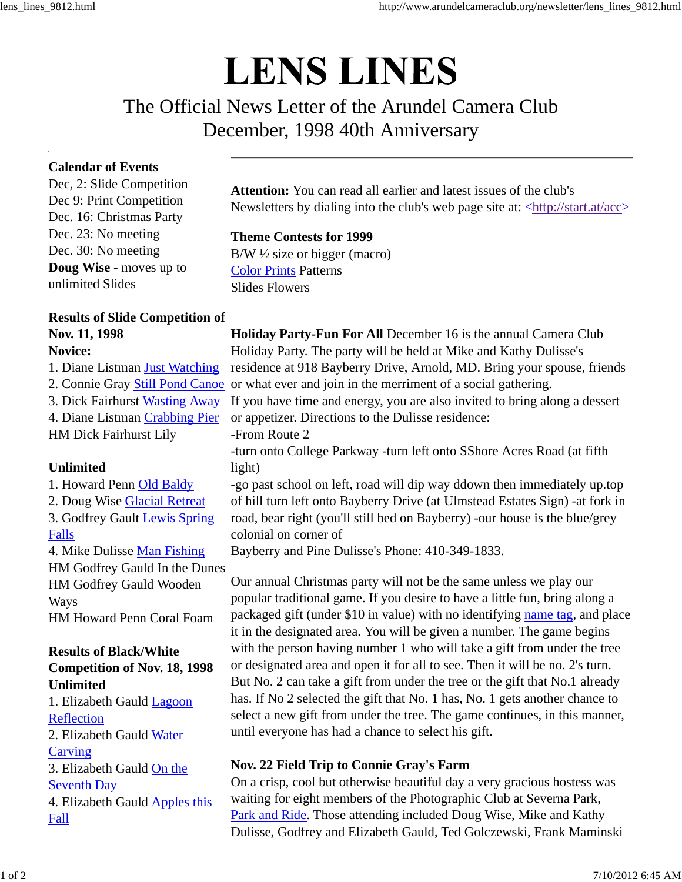# **LENS LINES**

## The Official News Letter of the Arundel Camera Club December, 1998 40th Anniversary

#### **Calendar of Events**

Dec, 2: Slide Competition Dec 9: Print Competition Dec. 16: Christmas Party Dec. 23: No meeting Dec. 30: No meeting **Doug Wise** - moves up to unlimited Slides

## **Results of Slide Competition of Nov. 11, 1998**

#### **Novice:**

1. Diane Listman Just Watching 3. Dick Fairhurst Wasting Away 4. Diane Listman Crabbing Pier HM Dick Fairhurst Lily

#### **Unlimited**

1. Howard Penn Old Baldy 2. Doug Wise Glacial Retreat 3. Godfrey Gault Lewis Spring Falls 4. Mike Dulisse Man Fishing HM Godfrey Gauld In the Dunes HM Godfrey Gauld Wooden

Ways HM Howard Penn Coral Foam

### **Results of Black/White Competition of Nov. 18, 1998 Unlimited**

1. Elizabeth Gauld Lagoon **Reflection** 2. Elizabeth Gauld Water **Carving** 3. Elizabeth Gauld On the Seventh Day 4. Elizabeth Gauld Apples this Fall

**Attention:** You can read all earlier and latest issues of the club's Newsletters by dialing into the club's web page site at: <http://start.at/acc>

#### **Theme Contests for 1999**

 $B/W$   $\frac{1}{2}$  size or bigger (macro) Color Prints Patterns Slides Flowers

2. Connie Gray Still Pond Canoe or what ever and join in the merriment of a social gathering. **Holiday Party-Fun For All** December 16 is the annual Camera Club Holiday Party. The party will be held at Mike and Kathy Dulisse's residence at 918 Bayberry Drive, Arnold, MD. Bring your spouse, friends If you have time and energy, you are also invited to bring along a dessert or appetizer. Directions to the Dulisse residence: -From Route 2 -turn onto College Parkway -turn left onto SShore Acres Road (at fifth light) -go past school on left, road will dip way ddown then immediately up.top of hill turn left onto Bayberry Drive (at Ulmstead Estates Sign) -at fork in road, bear right (you'll still bed on Bayberry) -our house is the blue/grey colonial on corner of Bayberry and Pine Dulisse's Phone: 410-349-1833.

> Our annual Christmas party will not be the same unless we play our popular traditional game. If you desire to have a little fun, bring along a packaged gift (under \$10 in value) with no identifying name tag, and place it in the designated area. You will be given a number. The game begins with the person having number 1 who will take a gift from under the tree or designated area and open it for all to see. Then it will be no. 2's turn. But No. 2 can take a gift from under the tree or the gift that No.1 already has. If No 2 selected the gift that No. 1 has, No. 1 gets another chance to select a new gift from under the tree. The game continues, in this manner, until everyone has had a chance to select his gift.

#### **Nov. 22 Field Trip to Connie Gray's Farm**

On a crisp, cool but otherwise beautiful day a very gracious hostess was waiting for eight members of the Photographic Club at Severna Park, Park and Ride. Those attending included Doug Wise, Mike and Kathy Dulisse, Godfrey and Elizabeth Gauld, Ted Golczewski, Frank Maminski